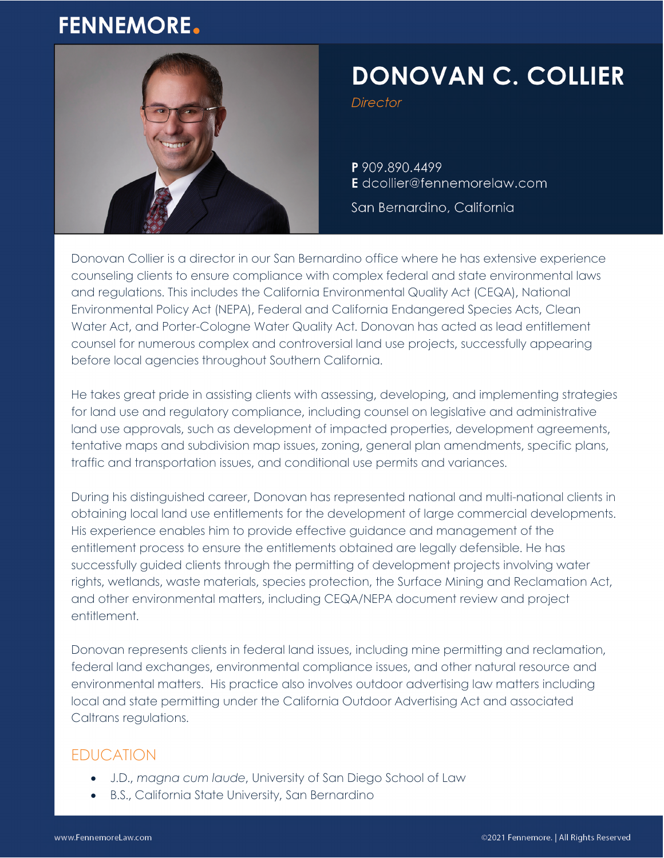## **FENNEMORE.**



# **DONOVAN C. COLLIER**

Director

P 909.890.4499 E dcollier@fennemorelaw.com

San Bernardino, California

Donovan Collier is a director in our San Bernardino office where he has extensive experience counseling clients to ensure compliance with complex federal and state environmental laws and regulations. This includes the California Environmental Quality Act (CEQA), National Environmental Policy Act (NEPA), Federal and California Endangered Species Acts, Clean Water Act, and Porter-Cologne Water Quality Act. Donovan has acted as lead entitlement counsel for numerous complex and controversial land use projects, successfully appearing before local agencies throughout Southern California.

He takes great pride in assisting clients with assessing, developing, and implementing strategies for land use and regulatory compliance, including counsel on legislative and administrative land use approvals, such as development of impacted properties, development agreements, tentative maps and subdivision map issues, zoning, general plan amendments, specific plans, traffic and transportation issues, and conditional use permits and variances.

During his distinguished career, Donovan has represented national and multi-national clients in obtaining local land use entitlements for the development of large commercial developments. His experience enables him to provide effective guidance and management of the entitlement process to ensure the entitlements obtained are legally defensible. He has successfully guided clients through the permitting of development projects involving water rights, wetlands, waste materials, species protection, the Surface Mining and Reclamation Act, and other environmental matters, including CEQA/NEPA document review and project entitlement.

Donovan represents clients in federal land issues, including mine permitting and reclamation, federal land exchanges, environmental compliance issues, and other natural resource and environmental matters. His practice also involves outdoor advertising law matters including local and state permitting under the California Outdoor Advertising Act and associated Caltrans regulations.

#### EDUCATION

- J.D., *magna cum laude*, University of San Diego School of Law
- B.S., California State University, San Bernardino